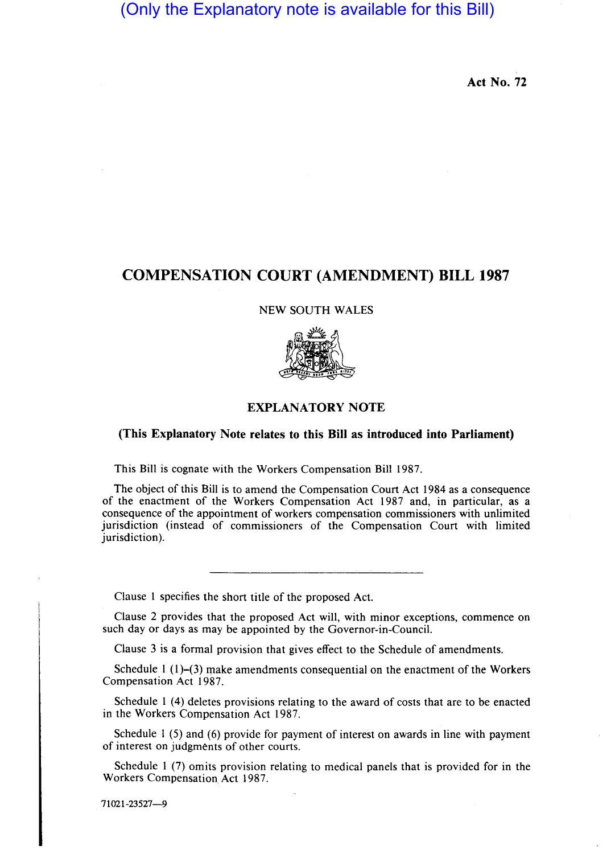## (Only the Explanatory note is available for this Bill)

**Act No. 72** 

## **COMPENSATION COURT (AMENDMENT) BILL 1987**

NEW SOUTH WALES



## **EXPLANATORY NOTE**

## (This Explanatory Note relates to this Bill as introduced into Parliament)

This Bill is cognate with the Workers Compensation Bill 1987.

The object of this Bill is to amend the Compensation Court Act 1984 as a consequence of the enactment of the Workers Compensation Act 1987 and, in particular, as a consequence of the appointment of workers compensation commissioners with unlimited jurisdiction (instead of commissioners of the Compensation Court with limited jurisdiction).

Clause 1 specifies the short title of the proposed Act.

Clause 2 provides that the proposed Act will, with minor exceptions, commence on such day or days as may be appointed by the Governor-in-Council.

Clause 3 is a formal provision that gives effect to the Schedule of amendments.

Schedule 1 (1)-(3) make amendments consequential on the enactment of the Workers Compensation Act 1987.

Schedule 1 (4) deletes provisions relating to the award of costs that are to be enacted in the Workers Compensation Act 1987.

Schedule 1 (5) and (6) provide for payment of interest on awards in line with payment of interest on judgments of other courts.

Schedule 1  $(7)$  omits provision relating to medical panels that is provided for in the Workers Compensation Act 1987.

71021-23527-9